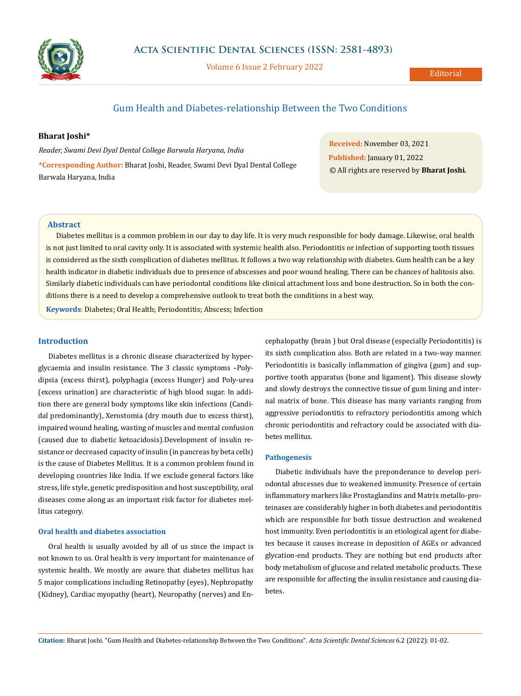

Volume 6 Issue 2 February 2022

# Gum Health and Diabetes-relationship Between the Two Conditions

# **Bharat Joshi\***

*Reader, Swami Devi Dyal Dental College Barwala Haryana, India* **\*Corresponding Author:** Bharat Joshi, Reader, Swami Devi Dyal Dental College Barwala Haryana, India

**Received:** November 03, 2021 **Published:** January 01, 2022 © All rights are reserved by **Bharat Joshi***.*

#### **Abstract**

Diabetes mellitus is a common problem in our day to day life. It is very much responsible for body damage. Likewise, oral health is not just limited to oral cavity only. It is associated with systemic health also. Periodontitis or infection of supporting tooth tissues is considered as the sixth complication of diabetes mellitus. It follows a two way relationship with diabetes. Gum health can be a key health indicator in diabetic individuals due to presence of abscesses and poor wound healing. There can be chances of halitosis also. Similarly diabetic individuals can have periodontal conditions like clinical attachment loss and bone destruction. So in both the conditions there is a need to develop a comprehensive outlook to treat both the conditions in a best way.

**Keywords**: Diabetes; Oral Health; Periodontitis; Abscess; Infection

# **Introduction**

Diabetes mellitus is a chronic disease characterized by hyperglycaemia and insulin resistance. The 3 classic symptoms –Polydipsia (excess thirst), polyphagia (excess Hunger) and Poly-urea (excess urination) are characteristic of high blood sugar. In addition there are general body symptoms like skin infections (Candidal predominantly), Xerostomia (dry mouth due to excess thirst), impaired wound healing, wasting of muscles and mental confusion (caused due to diabetic ketoacidosis).Development of insulin resistance or decreased capacity of insulin (in pancreas by beta cells) is the cause of Diabetes Mellitus. It is a common problem found in developing countries like India. If we exclude general factors like stress, life style, genetic predisposition and host susceptibility, oral diseases come along as an important risk factor for diabetes mellitus category.

# **Oral health and diabetes association**

Oral health is usually avoided by all of us since the impact is not known to us. Oral health is very important for maintenance of systemic health. We mostly are aware that diabetes mellitus has 5 major complications including Retinopathy (eyes), Nephropathy (Kidney), Cardiac myopathy (heart), Neuropathy (nerves) and Encephalopathy (brain ) but Oral disease (especially Periodontitis) is its sixth complication also. Both are related in a two-way manner. Periodontitis is basically inflammation of gingiva (gum) and supportive tooth apparatus (bone and ligament). This disease slowly and slowly destroys the connective tissue of gum lining and internal matrix of bone. This disease has many variants ranging from aggressive periodontitis to refractory periodontitis among which chronic periodontitis and refractory could be associated with diabetes mellitus.

# **Pathogenesis**

Diabetic individuals have the preponderance to develop periodontal abscesses due to weakened immunity. Presence of certain inflammatory markers like Prostaglandins and Matrix metallo-proteinases are considerably higher in both diabetes and periodontitis which are responsible for both tissue destruction and weakened host immunity. Even periodontitis is an etiological agent for diabetes because it causes increase in deposition of AGEs or advanced glycation-end products. They are nothing but end products after body metabolism of glucose and related metabolic products. These are responsible for affecting the insulin resistance and causing diabetes.